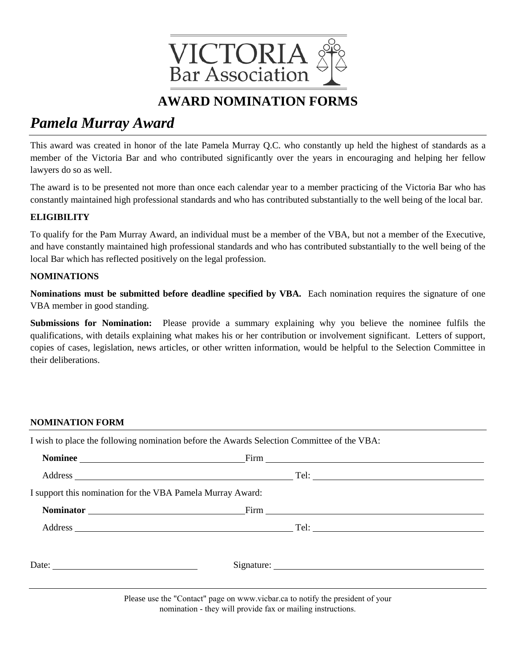

# *Pamela Murray Award*

This award was created in honor of the late Pamela Murray Q.C. who constantly up held the highest of standards as a member of the Victoria Bar and who contributed significantly over the years in encouraging and helping her fellow lawyers do so as well.

The award is to be presented not more than once each calendar year to a member practicing of the Victoria Bar who has constantly maintained high professional standards and who has contributed substantially to the well being of the local bar.

### **ELIGIBILITY**

To qualify for the Pam Murray Award, an individual must be a member of the VBA, but not a member of the Executive, and have constantly maintained high professional standards and who has contributed substantially to the well being of the local Bar which has reflected positively on the legal profession.

#### **NOMINATIONS**

**Nominations must be submitted before deadline specified by VBA.** Each nomination requires the signature of one VBA member in good standing.

**Submissions for Nomination:** Please provide a summary explaining why you believe the nominee fulfils the qualifications, with details explaining what makes his or her contribution or involvement significant. Letters of support, copies of cases, legislation, news articles, or other written information, would be helpful to the Selection Committee in their deliberations.

### **NOMINATION FORM**

I wish to place the following nomination before the Awards Selection Committee of the VBA: **Nominee** Firm Address Tel: I support this nomination for the VBA Pamela Murray Award:

**Nominator** Firm **Firm** 

Address Tel:

| Date: | ~·  |
|-------|-----|
|       | . . |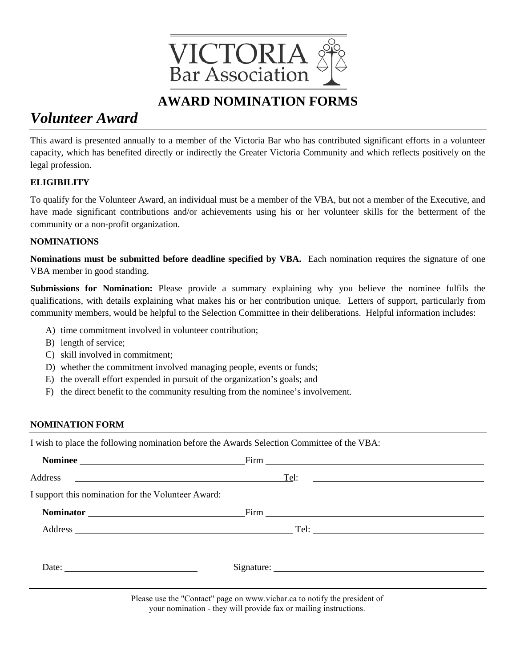

# *Volunteer Award*

This award is presented annually to a member of the Victoria Bar who has contributed significant efforts in a volunteer capacity, which has benefited directly or indirectly the Greater Victoria Community and which reflects positively on the legal profession.

### **ELIGIBILITY**

To qualify for the Volunteer Award, an individual must be a member of the VBA, but not a member of the Executive, and have made significant contributions and/or achievements using his or her volunteer skills for the betterment of the community or a non-profit organization.

### **NOMINATIONS**

**Nominations must be submitted before deadline specified by VBA.** Each nomination requires the signature of one VBA member in good standing.

**Submissions for Nomination:** Please provide a summary explaining why you believe the nominee fulfils the qualifications, with details explaining what makes his or her contribution unique. Letters of support, particularly from community members, would be helpful to the Selection Committee in their deliberations. Helpful information includes:

- A) time commitment involved in volunteer contribution;
- B) length of service;
- C) skill involved in commitment;
- D) whether the commitment involved managing people, events or funds;
- E) the overall effort expended in pursuit of the organization's goals; and
- F) the direct benefit to the community resulting from the nominee's involvement.

### **NOMINATION FORM**

I wish to place the following nomination before the Awards Selection Committee of the VBA:

|                                                                                                                                                                                                                                     | Nominee Firm Firm |                                                                                                                     |
|-------------------------------------------------------------------------------------------------------------------------------------------------------------------------------------------------------------------------------------|-------------------|---------------------------------------------------------------------------------------------------------------------|
| Address <u>examples</u> and the contract of the contract of the contract of the contract of the contract of the contract of the contract of the contract of the contract of the contract of the contract of the contract of the con | Tel:              | <u> 1989 - Andrea Albert III, politik eta politik eta politik eta politik eta politik eta politik eta politik e</u> |
| I support this nomination for the Volunteer Award:                                                                                                                                                                                  |                   |                                                                                                                     |
| Nominator <u> and</u> <b>Manufacture</b>                                                                                                                                                                                            |                   |                                                                                                                     |
|                                                                                                                                                                                                                                     |                   |                                                                                                                     |
| Date: $\frac{1}{\sqrt{1-\frac{1}{2}} \cdot \frac{1}{2}}$                                                                                                                                                                            |                   |                                                                                                                     |
|                                                                                                                                                                                                                                     |                   |                                                                                                                     |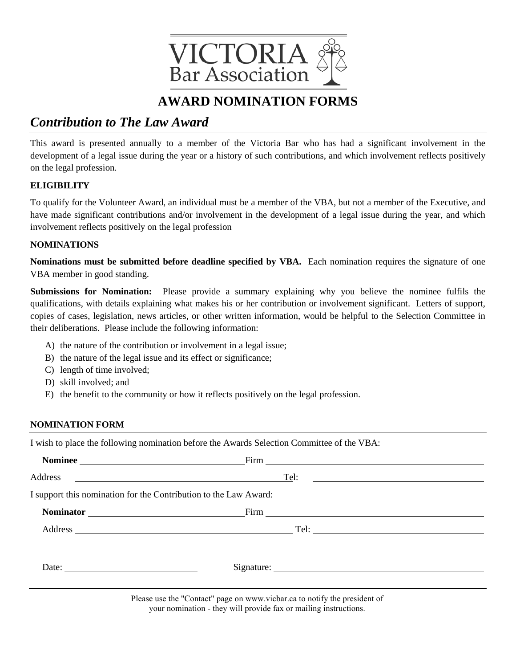

## *Contribution to The Law Award*

This award is presented annually to a member of the Victoria Bar who has had a significant involvement in the development of a legal issue during the year or a history of such contributions, and which involvement reflects positively on the legal profession.

### **ELIGIBILITY**

To qualify for the Volunteer Award, an individual must be a member of the VBA, but not a member of the Executive, and have made significant contributions and/or involvement in the development of a legal issue during the year, and which involvement reflects positively on the legal profession

### **NOMINATIONS**

**Nominations must be submitted before deadline specified by VBA.** Each nomination requires the signature of one VBA member in good standing.

**Submissions for Nomination:** Please provide a summary explaining why you believe the nominee fulfils the qualifications, with details explaining what makes his or her contribution or involvement significant. Letters of support, copies of cases, legislation, news articles, or other written information, would be helpful to the Selection Committee in their deliberations. Please include the following information:

- A) the nature of the contribution or involvement in a legal issue;
- B) the nature of the legal issue and its effect or significance;
- C) length of time involved;
- D) skill involved; and
- E) the benefit to the community or how it reflects positively on the legal profession.

### **NOMINATION FORM**

I wish to place the following nomination before the Awards Selection Committee of the VBA:

| Nominee                                                          |                                                                                                                                |                                                                                                                      |
|------------------------------------------------------------------|--------------------------------------------------------------------------------------------------------------------------------|----------------------------------------------------------------------------------------------------------------------|
|                                                                  | Tel:                                                                                                                           | <u> 1989 - Andrea State Barbara, amerikan personal di sebagai personal di sebagai personal di sebagai personal d</u> |
| I support this nomination for the Contribution to the Law Award: |                                                                                                                                |                                                                                                                      |
|                                                                  |                                                                                                                                |                                                                                                                      |
|                                                                  |                                                                                                                                |                                                                                                                      |
| Date: $\frac{1}{\sqrt{1-\frac{1}{2}} \cdot \frac{1}{2}}$         |                                                                                                                                |                                                                                                                      |
|                                                                  | $\mathbf{r}$ , and $\mathbf{r}$ , and $\mathbf{r}$ , and $\mathbf{r}$ , and $\mathbf{r}$ , and $\mathbf{r}$ , and $\mathbf{r}$ |                                                                                                                      |